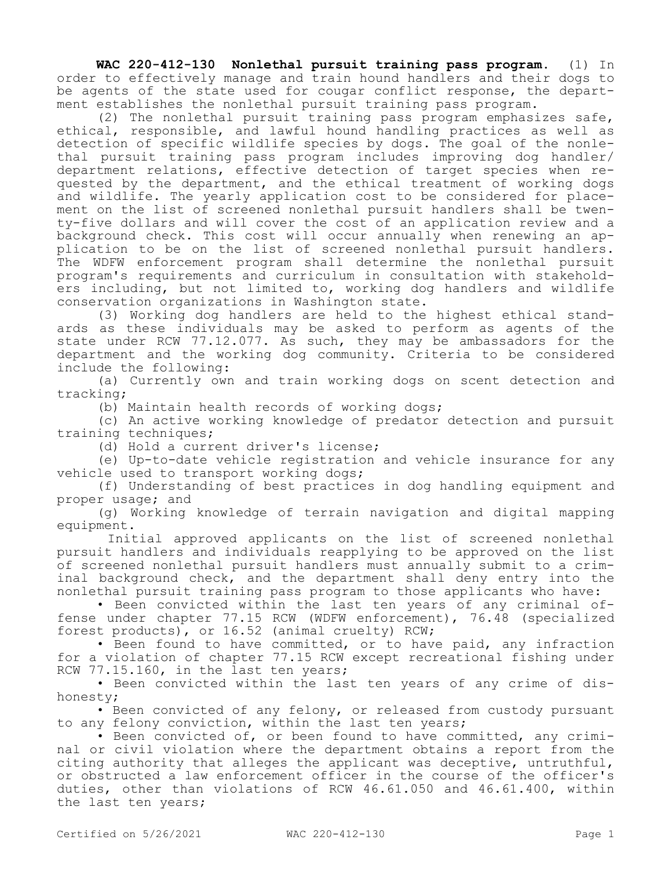**WAC 220-412-130 Nonlethal pursuit training pass program.** (1) In order to effectively manage and train hound handlers and their dogs to be agents of the state used for cougar conflict response, the department establishes the nonlethal pursuit training pass program.

(2) The nonlethal pursuit training pass program emphasizes safe, ethical, responsible, and lawful hound handling practices as well as detection of specific wildlife species by dogs. The goal of the nonlethal pursuit training pass program includes improving dog handler/ department relations, effective detection of target species when requested by the department, and the ethical treatment of working dogs and wildlife. The yearly application cost to be considered for placement on the list of screened nonlethal pursuit handlers shall be twenty-five dollars and will cover the cost of an application review and a background check. This cost will occur annually when renewing an application to be on the list of screened nonlethal pursuit handlers. The WDFW enforcement program shall determine the nonlethal pursuit program's requirements and curriculum in consultation with stakeholders including, but not limited to, working dog handlers and wildlife conservation organizations in Washington state.

(3) Working dog handlers are held to the highest ethical standards as these individuals may be asked to perform as agents of the state under RCW 77.12.077. As such, they may be ambassadors for the department and the working dog community. Criteria to be considered include the following:

(a) Currently own and train working dogs on scent detection and tracking;

(b) Maintain health records of working dogs;

(c) An active working knowledge of predator detection and pursuit training techniques;

(d) Hold a current driver's license;

(e) Up-to-date vehicle registration and vehicle insurance for any vehicle used to transport working dogs;

(f) Understanding of best practices in dog handling equipment and proper usage; and

(g) Working knowledge of terrain navigation and digital mapping equipment.

 Initial approved applicants on the list of screened nonlethal pursuit handlers and individuals reapplying to be approved on the list of screened nonlethal pursuit handlers must annually submit to a criminal background check, and the department shall deny entry into the nonlethal pursuit training pass program to those applicants who have:

• Been convicted within the last ten years of any criminal offense under chapter 77.15 RCW (WDFW enforcement), 76.48 (specialized forest products), or 16.52 (animal cruelty) RCW;

• Been found to have committed, or to have paid, any infraction for a violation of chapter 77.15 RCW except recreational fishing under RCW 77.15.160, in the last ten years;

• Been convicted within the last ten years of any crime of dishonesty;

• Been convicted of any felony, or released from custody pursuant to any felony conviction, within the last ten years;

• Been convicted of, or been found to have committed, any criminal or civil violation where the department obtains a report from the citing authority that alleges the applicant was deceptive, untruthful, or obstructed a law enforcement officer in the course of the officer's duties, other than violations of RCW 46.61.050 and 46.61.400, within the last ten years;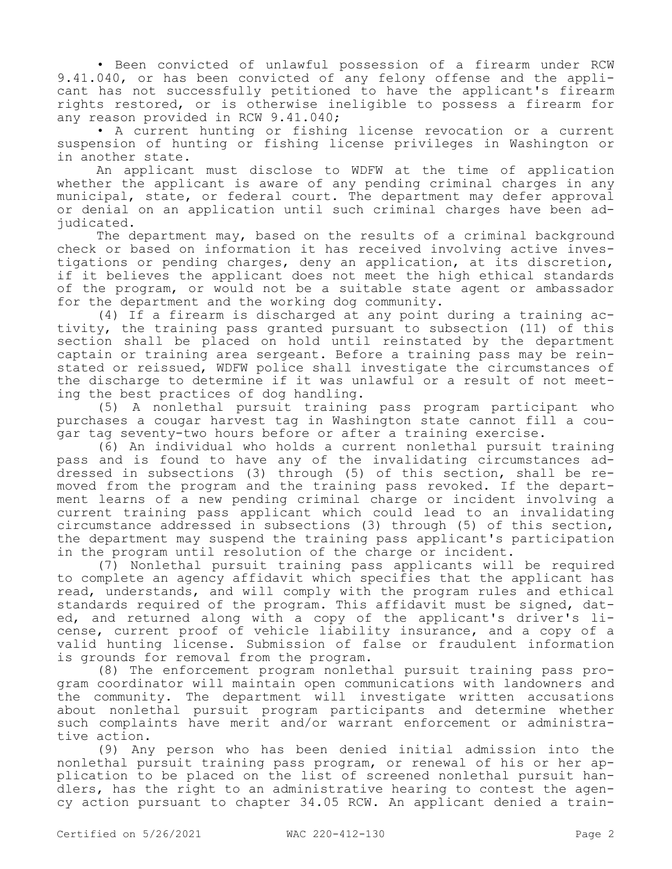• Been convicted of unlawful possession of a firearm under RCW 9.41.040, or has been convicted of any felony offense and the applicant has not successfully petitioned to have the applicant's firearm rights restored, or is otherwise ineligible to possess a firearm for any reason provided in RCW 9.41.040;

• A current hunting or fishing license revocation or a current suspension of hunting or fishing license privileges in Washington or in another state.

An applicant must disclose to WDFW at the time of application whether the applicant is aware of any pending criminal charges in any municipal, state, or federal court. The department may defer approval or denial on an application until such criminal charges have been adjudicated.

The department may, based on the results of a criminal background check or based on information it has received involving active investigations or pending charges, deny an application, at its discretion, if it believes the applicant does not meet the high ethical standards of the program, or would not be a suitable state agent or ambassador for the department and the working dog community.

(4) If a firearm is discharged at any point during a training activity, the training pass granted pursuant to subsection (11) of this section shall be placed on hold until reinstated by the department captain or training area sergeant. Before a training pass may be reinstated or reissued, WDFW police shall investigate the circumstances of the discharge to determine if it was unlawful or a result of not meeting the best practices of dog handling.

(5) A nonlethal pursuit training pass program participant who purchases a cougar harvest tag in Washington state cannot fill a cougar tag seventy-two hours before or after a training exercise.

(6) An individual who holds a current nonlethal pursuit training pass and is found to have any of the invalidating circumstances addressed in subsections (3) through (5) of this section, shall be removed from the program and the training pass revoked. If the department learns of a new pending criminal charge or incident involving a current training pass applicant which could lead to an invalidating circumstance addressed in subsections (3) through (5) of this section, the department may suspend the training pass applicant's participation in the program until resolution of the charge or incident.

(7) Nonlethal pursuit training pass applicants will be required to complete an agency affidavit which specifies that the applicant has read, understands, and will comply with the program rules and ethical standards required of the program. This affidavit must be signed, dated, and returned along with a copy of the applicant's driver's license, current proof of vehicle liability insurance, and a copy of a valid hunting license. Submission of false or fraudulent information is grounds for removal from the program.

(8) The enforcement program nonlethal pursuit training pass program coordinator will maintain open communications with landowners and the community. The department will investigate written accusations about nonlethal pursuit program participants and determine whether such complaints have merit and/or warrant enforcement or administrative action.

(9) Any person who has been denied initial admission into the nonlethal pursuit training pass program, or renewal of his or her application to be placed on the list of screened nonlethal pursuit handlers, has the right to an administrative hearing to contest the agency action pursuant to chapter 34.05 RCW. An applicant denied a train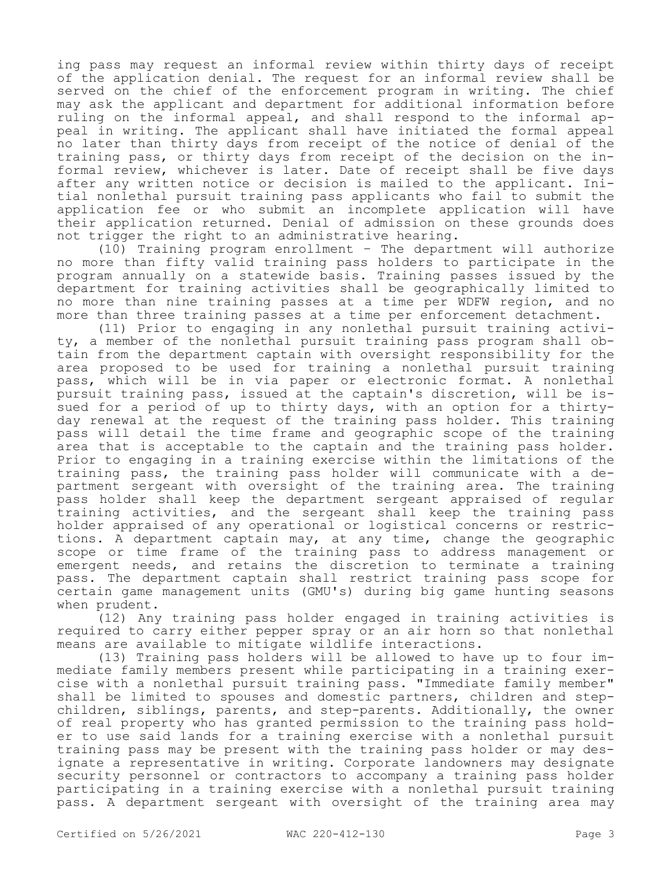ing pass may request an informal review within thirty days of receipt of the application denial. The request for an informal review shall be served on the chief of the enforcement program in writing. The chief may ask the applicant and department for additional information before ruling on the informal appeal, and shall respond to the informal appeal in writing. The applicant shall have initiated the formal appeal no later than thirty days from receipt of the notice of denial of the training pass, or thirty days from receipt of the decision on the informal review, whichever is later. Date of receipt shall be five days after any written notice or decision is mailed to the applicant. Initial nonlethal pursuit training pass applicants who fail to submit the application fee or who submit an incomplete application will have their application returned. Denial of admission on these grounds does not trigger the right to an administrative hearing.

(10) Training program enrollment – The department will authorize no more than fifty valid training pass holders to participate in the program annually on a statewide basis. Training passes issued by the department for training activities shall be geographically limited to no more than nine training passes at a time per WDFW region, and no more than three training passes at a time per enforcement detachment.

(11) Prior to engaging in any nonlethal pursuit training activity, a member of the nonlethal pursuit training pass program shall obtain from the department captain with oversight responsibility for the area proposed to be used for training a nonlethal pursuit training pass, which will be in via paper or electronic format. A nonlethal pursuit training pass, issued at the captain's discretion, will be issued for a period of up to thirty days, with an option for a thirtyday renewal at the request of the training pass holder. This training pass will detail the time frame and geographic scope of the training area that is acceptable to the captain and the training pass holder. Prior to engaging in a training exercise within the limitations of the training pass, the training pass holder will communicate with a department sergeant with oversight of the training area. The training pass holder shall keep the department sergeant appraised of regular training activities, and the sergeant shall keep the training pass holder appraised of any operational or logistical concerns or restrictions. A department captain may, at any time, change the geographic scope or time frame of the training pass to address management or emergent needs, and retains the discretion to terminate a training pass. The department captain shall restrict training pass scope for certain game management units (GMU's) during big game hunting seasons when prudent.

(12) Any training pass holder engaged in training activities is required to carry either pepper spray or an air horn so that nonlethal means are available to mitigate wildlife interactions.

(13) Training pass holders will be allowed to have up to four immediate family members present while participating in a training exercise with a nonlethal pursuit training pass. "Immediate family member" shall be limited to spouses and domestic partners, children and stepchildren, siblings, parents, and step-parents. Additionally, the owner of real property who has granted permission to the training pass holder to use said lands for a training exercise with a nonlethal pursuit training pass may be present with the training pass holder or may designate a representative in writing. Corporate landowners may designate security personnel or contractors to accompany a training pass holder participating in a training exercise with a nonlethal pursuit training pass. A department sergeant with oversight of the training area may